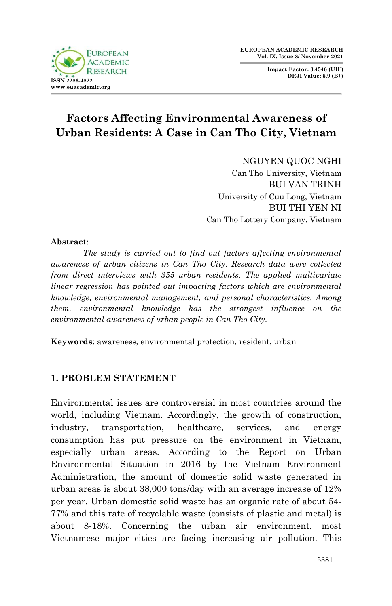

**Impact Factor: 3.4546 (UIF) DRJI Value: 5.9 (B+)**

# **Factors Affecting Environmental Awareness of Urban Residents: A Case in Can Tho City, Vietnam**

NGUYEN QUOC NGHI Can Tho University, Vietnam BUI VAN TRINH University of Cuu Long, Vietnam BUI THI YEN NI Can Tho Lottery Company, Vietnam

#### **Abstract**:

*The study is carried out to find out factors affecting environmental awareness of urban citizens in Can Tho City. Research data were collected from direct interviews with 355 urban residents. The applied multivariate linear regression has pointed out impacting factors which are environmental knowledge, environmental management, and personal characteristics. Among them, environmental knowledge has the strongest influence on the environmental awareness of urban people in Can Tho City.*

**Keywords**: awareness, environmental protection, resident, urban

#### **1. PROBLEM STATEMENT**

Environmental issues are controversial in most countries around the world, including Vietnam. Accordingly, the growth of construction, industry, transportation, healthcare, services, and energy consumption has put pressure on the environment in Vietnam, especially urban areas. According to the Report on Urban Environmental Situation in 2016 by the Vietnam Environment Administration, the amount of domestic solid waste generated in urban areas is about 38,000 tons/day with an average increase of 12% per year. Urban domestic solid waste has an organic rate of about 54- 77% and this rate of recyclable waste (consists of plastic and metal) is about 8-18%. Concerning the urban air environment, most Vietnamese major cities are facing increasing air pollution. This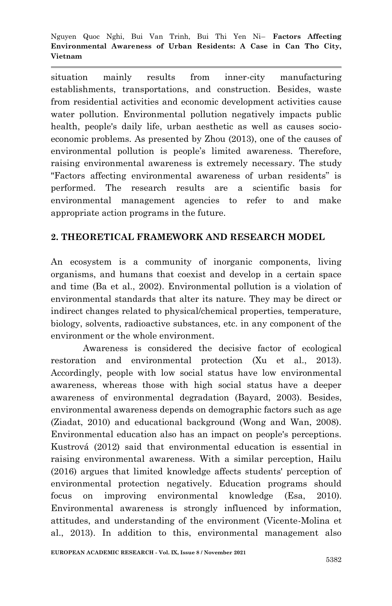situation mainly results from inner-city manufacturing establishments, transportations, and construction. Besides, waste from residential activities and economic development activities cause water pollution. Environmental pollution negatively impacts public health, people's daily life, urban aesthetic as well as causes socioeconomic problems. As presented by Zhou (2013), one of the causes of environmental pollution is people's limited awareness. Therefore, raising environmental awareness is extremely necessary. The study "Factors affecting environmental awareness of urban residents" is performed. The research results are a scientific basis for environmental management agencies to refer to and make appropriate action programs in the future.

# **2. THEORETICAL FRAMEWORK AND RESEARCH MODEL**

An ecosystem is a community of inorganic components, living organisms, and humans that coexist and develop in a certain space and time (Ba et al., 2002). Environmental pollution is a violation of environmental standards that alter its nature. They may be direct or indirect changes related to physical/chemical properties, temperature, biology, solvents, radioactive substances, etc. in any component of the environment or the whole environment.

Awareness is considered the decisive factor of ecological restoration and environmental protection (Xu et al., 2013). Accordingly, people with low social status have low environmental awareness, whereas those with high social status have a deeper awareness of environmental degradation (Bayard, 2003). Besides, environmental awareness depends on demographic factors such as age (Ziadat, 2010) and educational background (Wong and Wan, 2008). Environmental education also has an impact on people's perceptions. Kustrová (2012) said that environmental education is essential in raising environmental awareness. With a similar perception, Hailu (2016) argues that limited knowledge affects students' perception of environmental protection negatively. Education programs should focus on improving environmental knowledge (Esa, 2010). Environmental awareness is strongly influenced by information, attitudes, and understanding of the environment (Vicente-Molina et al., 2013). In addition to this, environmental management also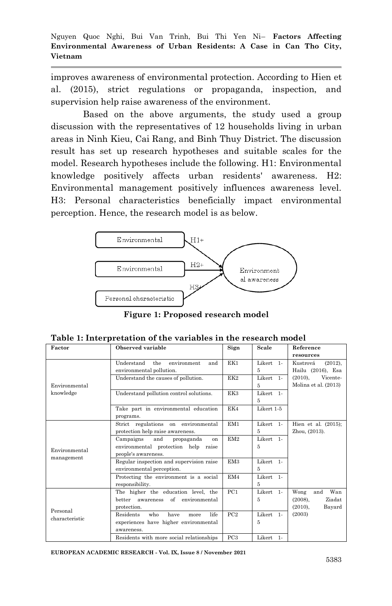improves awareness of environmental protection. According to Hien et al. (2015), strict regulations or propaganda, inspection, and supervision help raise awareness of the environment.

Based on the above arguments, the study used a group discussion with the representatives of 12 households living in urban areas in Ninh Kieu, Cai Rang, and Binh Thuy District. The discussion result has set up research hypotheses and suitable scales for the model. Research hypotheses include the following. H1: Environmental knowledge positively affects urban residents' awareness. H2: Environmental management positively influences awareness level. H3: Personal characteristics beneficially impact environmental perception. Hence, the research model is as below.



**Figure 1: Proposed research model**

| Factor                     | Observed variable                               | Sign            | Scale      | Reference              |
|----------------------------|-------------------------------------------------|-----------------|------------|------------------------|
|                            |                                                 |                 |            | resources              |
|                            | Understand<br>the<br>environment<br>and         | EK1             | Likert 1-  | Kustrová<br>(2012),    |
|                            | environmental pollution.                        |                 | 5          | Hailu (2016), Esa      |
|                            | Understand the causes of pollution.             | EK2             | Likert 1-  | Vicente-<br>$(2010)$ , |
| Environmental              |                                                 |                 | 5          | Molina et al. (2013)   |
| knowledge                  | Understand pollution control solutions.         | EK3             | Likert 1-  |                        |
|                            |                                                 |                 | 5          |                        |
|                            | Take part in environmental education            | EK4             | Likert 1-5 |                        |
|                            | programs.                                       |                 |            |                        |
|                            | Strict regulations on environmental             | EM <sub>1</sub> | Likert 1-  | Hien et al. $(2015)$ ; |
|                            | protection help raise awareness.                |                 | 5          | Zhou, (2013).          |
|                            | Campaigns<br>and<br>propaganda<br>on            | EM2             | Likert 1-  |                        |
|                            | environmental protection help raise             |                 | 5          |                        |
| Environmental              | people's awareness.                             |                 |            |                        |
| management                 | Regular inspection and supervision raise        | EM <sub>3</sub> | Likert 1-  |                        |
|                            | environmental perception.                       |                 | 5          |                        |
|                            | Protecting the environment is a social          | EM4             | Likert 1-  |                        |
|                            | responsibility.                                 |                 | 5          |                        |
|                            | The higher the education level, the             | PC1             | Likert 1-  | Wan<br>Wong<br>and     |
| Personal<br>characteristic | better awareness of environmental               |                 | 5          | Ziadat<br>(2008).      |
|                            | protection.                                     |                 |            | (2010),<br>Bayard      |
|                            | <b>Residents</b><br>life<br>who<br>have<br>more | PC2             | Likert 1-  | (2003)                 |
|                            | experiences have higher environmental           |                 | 5          |                        |
|                            | awareness.                                      |                 |            |                        |
|                            | Residents with more social relationships        | PC <sub>3</sub> | Likert 1-  |                        |

**Table 1: Interpretation of the variables in the research model**

**EUROPEAN ACADEMIC RESEARCH - Vol. IX, Issue 8 / November 2021**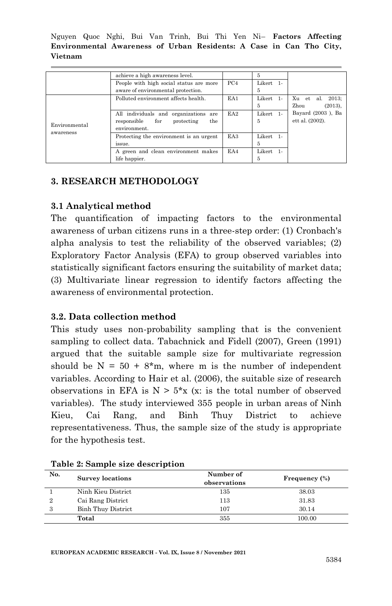|                            | achieve a high awareness level.          |                 | 5         |                       |
|----------------------------|------------------------------------------|-----------------|-----------|-----------------------|
|                            | People with high social status are more  | PC <sub>4</sub> | Likert 1- |                       |
|                            | aware of environmental protection.       |                 | 5         |                       |
| Environmental<br>awareness | Polluted environment affects health.     | EA1             | Likert 1- | Xu et<br>al.<br>2013: |
|                            |                                          |                 | 5         | Zhou<br>(2013),       |
|                            | All individuals and organizations<br>are | EA <sub>2</sub> | Likert 1- | Bayard (2003), Ba     |
|                            | for<br>the<br>responsible<br>protecting  |                 | 5         | ett al. (2002).       |
|                            | environment.                             |                 |           |                       |
|                            | Protecting the environment is an urgent  | EA3             | Likert 1- |                       |
|                            | issue.                                   |                 | 5         |                       |
|                            | A green and clean environment makes      | EA4             | Likert 1- |                       |
|                            | life happier.                            |                 | 5         |                       |

# **3. RESEARCH METHODOLOGY**

# **3.1 Analytical method**

The quantification of impacting factors to the environmental awareness of urban citizens runs in a three-step order: (1) Cronbach's alpha analysis to test the reliability of the observed variables; (2) Exploratory Factor Analysis (EFA) to group observed variables into statistically significant factors ensuring the suitability of market data; (3) Multivariate linear regression to identify factors affecting the awareness of environmental protection.

# **3.2. Data collection method**

This study uses non-probability sampling that is the convenient sampling to collect data. Tabachnick and Fidell (2007), Green (1991) argued that the suitable sample size for multivariate regression should be  $N = 50 + 8$ <sup>\*</sup>m, where m is the number of independent variables. According to Hair et al. (2006), the suitable size of research observations in EFA is  $N > 5*x$  (x: is the total number of observed variables). The study interviewed 355 people in urban areas of Ninh Kieu, Cai Rang, and Binh Thuy District to achieve representativeness. Thus, the sample size of the study is appropriate for the hypothesis test.

| No.<br><b>Survey locations</b> |                           | Number of<br>observations | Frequency (%) |  |
|--------------------------------|---------------------------|---------------------------|---------------|--|
|                                | Ninh Kieu District        | 135                       | 38.03         |  |
| 2                              | Cai Rang District         | 113                       | 31.83         |  |
| 3                              | <b>Binh Thuy District</b> | 107                       | 30.14         |  |
|                                | Total                     | 355                       | 100.00        |  |

|  |  |  |  | Table 2: Sample size description |
|--|--|--|--|----------------------------------|
|--|--|--|--|----------------------------------|

**EUROPEAN ACADEMIC RESEARCH - Vol. IX, Issue 8 / November 2021**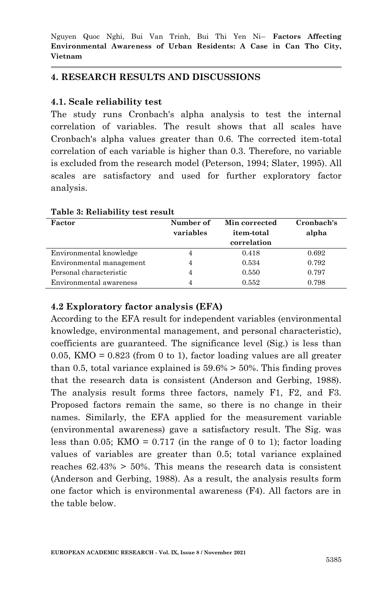## **4. RESEARCH RESULTS AND DISCUSSIONS**

## **4.1. Scale reliability test**

The study runs Cronbach's alpha analysis to test the internal correlation of variables. The result shows that all scales have Cronbach's alpha values greater than 0.6. The corrected item-total correlation of each variable is higher than 0.3. Therefore, no variable is excluded from the research model (Peterson, 1994; Slater, 1995). All scales are satisfactory and used for further exploratory factor analysis.

| Factor                   | Number of<br>variables | Min corrected<br>item-total<br>correlation | Cronbach's<br>alpha |
|--------------------------|------------------------|--------------------------------------------|---------------------|
| Environmental knowledge  | 4                      | 0.418                                      | 0.692               |
| Environmental management | 4                      | 0.534                                      | 0.792               |
| Personal characteristic  |                        | 0.550                                      | 0.797               |
| Environmental awareness  |                        | 0.552                                      | 0.798               |

#### **Table 3: Reliability test result**

## **4.2 Exploratory factor analysis (EFA)**

According to the EFA result for independent variables (environmental knowledge, environmental management, and personal characteristic), coefficients are guaranteed. The significance level (Sig.) is less than 0.05, KMO =  $0.823$  (from 0 to 1), factor loading values are all greater than 0.5, total variance explained is  $59.6\% > 50\%$ . This finding proves that the research data is consistent (Anderson and Gerbing, 1988). The analysis result forms three factors, namely F1, F2, and F3. Proposed factors remain the same, so there is no change in their names. Similarly, the EFA applied for the measurement variable (environmental awareness) gave a satisfactory result. The Sig. was less than 0.05; KMO =  $0.717$  (in the range of 0 to 1); factor loading values of variables are greater than 0.5; total variance explained reaches  $62.43\% > 50\%$ . This means the research data is consistent (Anderson and Gerbing, 1988). As a result, the analysis results form one factor which is environmental awareness (F4). All factors are in the table below.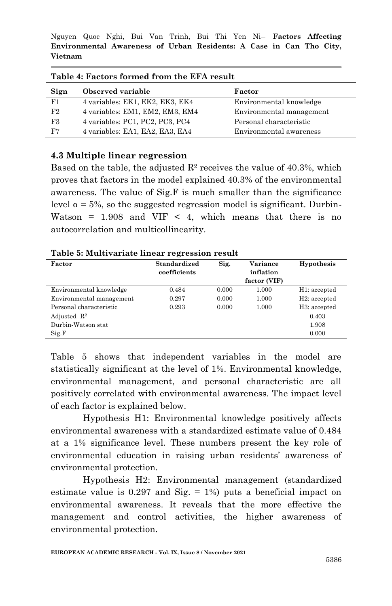| Table 4: Factors formed from the EFA result |                                 |                          |  |  |
|---------------------------------------------|---------------------------------|--------------------------|--|--|
| Sign                                        | Observed variable               | Factor                   |  |  |
| F1                                          | 4 variables: EK1, EK2, EK3, EK4 | Environmental knowledge  |  |  |
| F2                                          | 4 variables: EM1, EM2, EM3, EM4 | Environmental management |  |  |
| F3                                          | 4 variables: PC1, PC2, PC3, PC4 | Personal characteristic  |  |  |
| F7                                          | 4 variables: EA1, EA2, EA3, EA4 | Environmental awareness  |  |  |

**Table 4: Factors formed from the EFA result**

#### **4.3 Multiple linear regression**

Based on the table, the adjusted  $\mathbb{R}^2$  receives the value of 40.3%, which proves that factors in the model explained 40.3% of the environmental awareness. The value of Sig.F is much smaller than the significance level  $α = 5%$ , so the suggested regression model is significant. Durbin-Watson =  $1.908$  and VIF < 4, which means that there is no autocorrelation and multicollinearity.

| Factor                   | Standardized<br>coefficients | Sig.  | Variance<br>inflation<br>factor (VIF) | Hypothesis                |
|--------------------------|------------------------------|-------|---------------------------------------|---------------------------|
| Environmental knowledge  | 0.484                        | 0.000 | 1.000                                 | H1: accepted              |
| Environmental management | 0.297                        | 0.000 | 1.000                                 | H <sub>2</sub> : accepted |
| Personal characteristic  | 0.293                        | 0.000 | 1.000                                 | H <sub>3</sub> : accepted |
| Adjusted $\mathbb{R}^2$  |                              |       |                                       | 0.403                     |
| Durbin-Watson stat       |                              |       |                                       | 1.908                     |
| Sig.F                    |                              |       |                                       | 0.000                     |

Table 5 shows that independent variables in the model are statistically significant at the level of 1%. Environmental knowledge, environmental management, and personal characteristic are all positively correlated with environmental awareness. The impact level of each factor is explained below.

Hypothesis H1: Environmental knowledge positively affects environmental awareness with a standardized estimate value of 0.484 at a 1% significance level. These numbers present the key role of environmental education in raising urban residents' awareness of environmental protection.

Hypothesis H2: Environmental management (standardized estimate value is  $0.297$  and Sig.  $= 1\%$  puts a beneficial impact on environmental awareness. It reveals that the more effective the management and control activities, the higher awareness of environmental protection.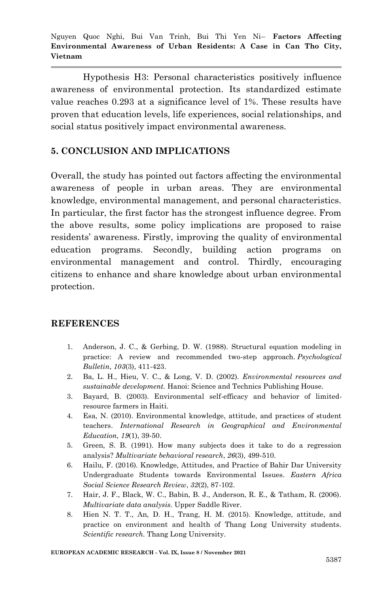Hypothesis H3: Personal characteristics positively influence awareness of environmental protection. Its standardized estimate value reaches 0.293 at a significance level of 1%. These results have proven that education levels, life experiences, social relationships, and social status positively impact environmental awareness.

## **5. CONCLUSION AND IMPLICATIONS**

Overall, the study has pointed out factors affecting the environmental awareness of people in urban areas. They are environmental knowledge, environmental management, and personal characteristics. In particular, the first factor has the strongest influence degree. From the above results, some policy implications are proposed to raise residents' awareness. Firstly, improving the quality of environmental education programs. Secondly, building action programs environmental management and control. Thirdly, encouraging citizens to enhance and share knowledge about urban environmental protection.

#### **REFERENCES**

- 1. Anderson, J. C., & Gerbing, D. W. (1988). Structural equation modeling in practice: A review and recommended two-step approach. *Psychological Bulletin*, *103*(3), 411-423.
- 2. Ba, L. H., Hieu, V. C., & Long, V. D. (2002). *Environmental resources and sustainable development.* Hanoi: Science and Technics Publishing House.
- 3. Bayard, B. (2003). Environmental self-efficacy and behavior of limitedresource farmers in Haiti.
- 4. Esa, N. (2010). Environmental knowledge, attitude, and practices of student teachers. *International Research in Geographical and Environmental Education*, *19*(1), 39-50.
- 5. Green, S. B. (1991). How many subjects does it take to do a regression analysis? *Multivariate behavioral research*, *26*(3), 499-510.
- 6. Hailu, F. (2016). Knowledge, Attitudes, and Practice of Bahir Dar University Undergraduate Students towards Environmental Issues. *Eastern Africa Social Science Research Review*, *32*(2), 87-102.
- 7. Hair, J. F., Black, W. C., Babin, B. J., Anderson, R. E., & Tatham, R. (2006). *Multivariate data analysis.* Upper Saddle River.
- 8. Hien N. T. T., An, D. H., Trang, H. M. (2015). Knowledge, attitude, and practice on environment and health of Thang Long University students. *Scientific research.* Thang Long University.